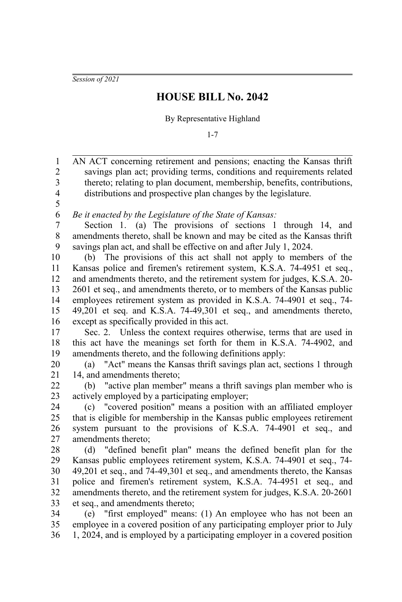*Session of 2021*

## **HOUSE BILL No. 2042**

By Representative Highland

1-7

AN ACT concerning retirement and pensions; enacting the Kansas thrift savings plan act; providing terms, conditions and requirements related thereto; relating to plan document, membership, benefits, contributions, distributions and prospective plan changes by the legislature. *Be it enacted by the Legislature of the State of Kansas:* Section 1. (a) The provisions of sections 1 through 14, and amendments thereto, shall be known and may be cited as the Kansas thrift savings plan act, and shall be effective on and after July 1, 2024. (b) The provisions of this act shall not apply to members of the Kansas police and firemen's retirement system, K.S.A. 74-4951 et seq., and amendments thereto, and the retirement system for judges, K.S.A. 20- 2601 et seq., and amendments thereto, or to members of the Kansas public employees retirement system as provided in K.S.A. 74-4901 et seq., 74- 49,201 et seq. and K.S.A. 74-49,301 et seq., and amendments thereto, except as specifically provided in this act. Sec. 2. Unless the context requires otherwise, terms that are used in this act have the meanings set forth for them in K.S.A. 74-4902, and amendments thereto, and the following definitions apply: (a) "Act" means the Kansas thrift savings plan act, sections 1 through 14, and amendments thereto; (b) "active plan member" means a thrift savings plan member who is actively employed by a participating employer; (c) "covered position" means a position with an affiliated employer that is eligible for membership in the Kansas public employees retirement system pursuant to the provisions of K.S.A. 74-4901 et seq., and amendments thereto; (d) "defined benefit plan" means the defined benefit plan for the Kansas public employees retirement system, K.S.A. 74-4901 et seq., 74- 49,201 et seq., and 74-49,301 et seq., and amendments thereto, the Kansas police and firemen's retirement system, K.S.A. 74-4951 et seq., and amendments thereto, and the retirement system for judges, K.S.A. 20-2601 et seq., and amendments thereto; (e) "first employed" means: (1) An employee who has not been an employee in a covered position of any participating employer prior to July 1, 2024, and is employed by a participating employer in a covered position 1 2 3 4 5 6 7 8 9 10 11 12 13 14 15 16 17 18 19 20 21 22 23 24 25 26 27 28 29 30 31 32 33 34 35 36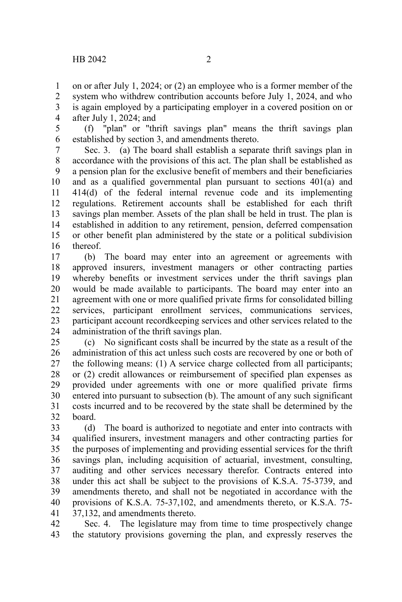on or after July 1, 2024; or (2) an employee who is a former member of the system who withdrew contribution accounts before July 1, 2024, and who is again employed by a participating employer in a covered position on or after July 1, 2024; and 1 2 3 4

(f) "plan" or "thrift savings plan" means the thrift savings plan established by section 3, and amendments thereto. 5 6

Sec. 3. (a) The board shall establish a separate thrift savings plan in accordance with the provisions of this act. The plan shall be established as a pension plan for the exclusive benefit of members and their beneficiaries and as a qualified governmental plan pursuant to sections 401(a) and 414(d) of the federal internal revenue code and its implementing regulations. Retirement accounts shall be established for each thrift savings plan member. Assets of the plan shall be held in trust. The plan is established in addition to any retirement, pension, deferred compensation or other benefit plan administered by the state or a political subdivision thereof. 7 8 9 10 11 12 13 14 15 16

(b) The board may enter into an agreement or agreements with approved insurers, investment managers or other contracting parties whereby benefits or investment services under the thrift savings plan would be made available to participants. The board may enter into an agreement with one or more qualified private firms for consolidated billing services, participant enrollment services, communications services, participant account recordkeeping services and other services related to the administration of the thrift savings plan. 17 18 19 20 21 22 23 24

(c) No significant costs shall be incurred by the state as a result of the administration of this act unless such costs are recovered by one or both of the following means: (1) A service charge collected from all participants; or (2) credit allowances or reimbursement of specified plan expenses as provided under agreements with one or more qualified private firms entered into pursuant to subsection (b). The amount of any such significant costs incurred and to be recovered by the state shall be determined by the board. 25 26 27 28 29 30 31 32

(d) The board is authorized to negotiate and enter into contracts with qualified insurers, investment managers and other contracting parties for the purposes of implementing and providing essential services for the thrift savings plan, including acquisition of actuarial, investment, consulting, auditing and other services necessary therefor. Contracts entered into under this act shall be subject to the provisions of K.S.A. 75-3739, and amendments thereto, and shall not be negotiated in accordance with the provisions of K.S.A. 75-37,102, and amendments thereto, or K.S.A. 75- 37,132, and amendments thereto. 33 34 35 36 37 38 39 40 41

Sec. 4. The legislature may from time to time prospectively change the statutory provisions governing the plan, and expressly reserves the 42 43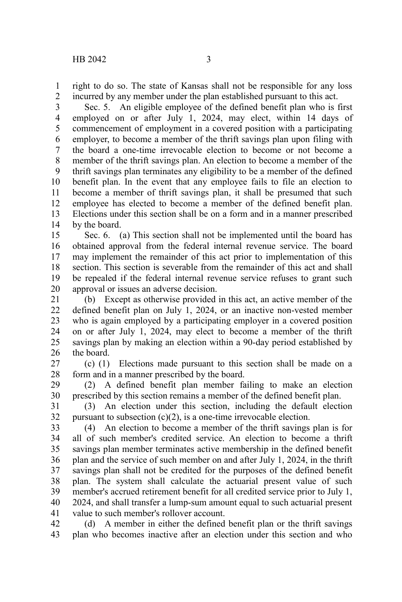right to do so. The state of Kansas shall not be responsible for any loss incurred by any member under the plan established pursuant to this act. 1 2

Sec. 5. An eligible employee of the defined benefit plan who is first employed on or after July 1, 2024, may elect, within 14 days of commencement of employment in a covered position with a participating employer, to become a member of the thrift savings plan upon filing with the board a one-time irrevocable election to become or not become a member of the thrift savings plan. An election to become a member of the thrift savings plan terminates any eligibility to be a member of the defined benefit plan. In the event that any employee fails to file an election to become a member of thrift savings plan, it shall be presumed that such employee has elected to become a member of the defined benefit plan. Elections under this section shall be on a form and in a manner prescribed by the board. 3 4 5 6 7 8 9 10 11 12 13 14

Sec. 6. (a) This section shall not be implemented until the board has obtained approval from the federal internal revenue service. The board may implement the remainder of this act prior to implementation of this section. This section is severable from the remainder of this act and shall be repealed if the federal internal revenue service refuses to grant such approval or issues an adverse decision. 15 16 17 18 19 20

(b) Except as otherwise provided in this act, an active member of the defined benefit plan on July 1, 2024, or an inactive non-vested member who is again employed by a participating employer in a covered position on or after July 1, 2024, may elect to become a member of the thrift savings plan by making an election within a 90-day period established by the board. 21 22 23 24 25 26

(c) (1) Elections made pursuant to this section shall be made on a form and in a manner prescribed by the board. 27 28

(2) A defined benefit plan member failing to make an election prescribed by this section remains a member of the defined benefit plan. 29 30

(3) An election under this section, including the default election pursuant to subsection  $(c)(2)$ , is a one-time irrevocable election. 31 32

(4) An election to become a member of the thrift savings plan is for all of such member's credited service. An election to become a thrift savings plan member terminates active membership in the defined benefit plan and the service of such member on and after July 1, 2024, in the thrift savings plan shall not be credited for the purposes of the defined benefit plan. The system shall calculate the actuarial present value of such member's accrued retirement benefit for all credited service prior to July 1, 2024, and shall transfer a lump-sum amount equal to such actuarial present value to such member's rollover account. 33 34 35 36 37 38 39 40 41

(d) A member in either the defined benefit plan or the thrift savings plan who becomes inactive after an election under this section and who 42 43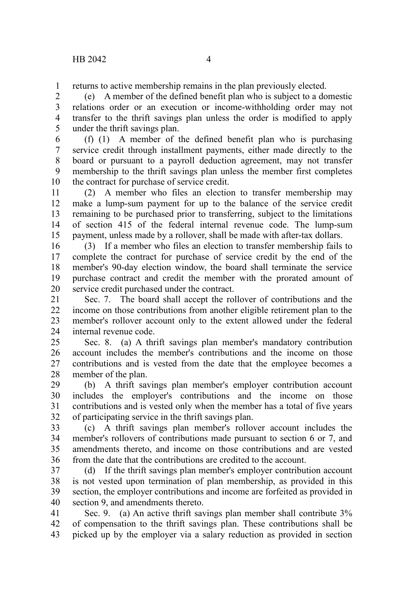returns to active membership remains in the plan previously elected. 1

(e) A member of the defined benefit plan who is subject to a domestic relations order or an execution or income-withholding order may not transfer to the thrift savings plan unless the order is modified to apply under the thrift savings plan. 2 3 4 5

(f) (1) A member of the defined benefit plan who is purchasing service credit through installment payments, either made directly to the board or pursuant to a payroll deduction agreement, may not transfer membership to the thrift savings plan unless the member first completes the contract for purchase of service credit. 6 7 8 9 10

(2) A member who files an election to transfer membership may make a lump-sum payment for up to the balance of the service credit remaining to be purchased prior to transferring, subject to the limitations of section 415 of the federal internal revenue code. The lump-sum payment, unless made by a rollover, shall be made with after-tax dollars. 11 12 13 14 15

(3) If a member who files an election to transfer membership fails to complete the contract for purchase of service credit by the end of the member's 90-day election window, the board shall terminate the service purchase contract and credit the member with the prorated amount of service credit purchased under the contract. 16 17 18 19 20

Sec. 7. The board shall accept the rollover of contributions and the income on those contributions from another eligible retirement plan to the member's rollover account only to the extent allowed under the federal internal revenue code. 21 22 23 24

Sec. 8. (a) A thrift savings plan member's mandatory contribution account includes the member's contributions and the income on those contributions and is vested from the date that the employee becomes a member of the plan. 25 26 27 28

(b) A thrift savings plan member's employer contribution account includes the employer's contributions and the income on those contributions and is vested only when the member has a total of five years of participating service in the thrift savings plan. 29 30 31 32

(c) A thrift savings plan member's rollover account includes the member's rollovers of contributions made pursuant to section 6 or 7, and amendments thereto, and income on those contributions and are vested from the date that the contributions are credited to the account. 33 34 35 36

(d) If the thrift savings plan member's employer contribution account is not vested upon termination of plan membership, as provided in this section, the employer contributions and income are forfeited as provided in section 9, and amendments thereto. 37 38 39 40

Sec. 9. (a) An active thrift savings plan member shall contribute 3% of compensation to the thrift savings plan. These contributions shall be picked up by the employer via a salary reduction as provided in section 41 42 43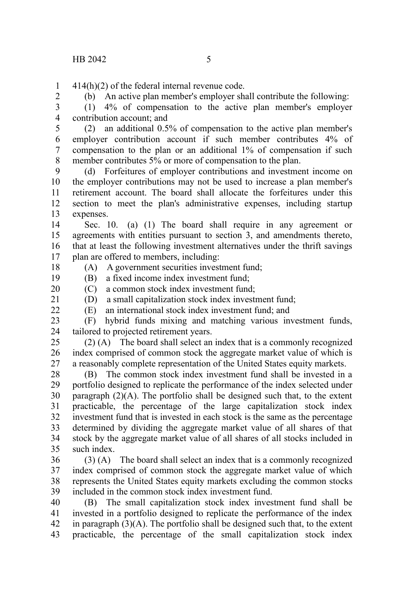414(h)(2) of the federal internal revenue code. 1

2 3 (b) An active plan member's employer shall contribute the following: (1) 4% of compensation to the active plan member's employer

contribution account; and 4

(2) an additional 0.5% of compensation to the active plan member's employer contribution account if such member contributes 4% of compensation to the plan or an additional 1% of compensation if such member contributes 5% or more of compensation to the plan. 5 6 7 8

(d) Forfeitures of employer contributions and investment income on the employer contributions may not be used to increase a plan member's retirement account. The board shall allocate the forfeitures under this section to meet the plan's administrative expenses, including startup expenses.  $\mathbf{Q}$ 10 11 12 13

Sec. 10. (a) (1) The board shall require in any agreement or agreements with entities pursuant to section 3, and amendments thereto, that at least the following investment alternatives under the thrift savings plan are offered to members, including: 14 15 16 17

18

19

(A) A government securities investment fund;

(B) a fixed income index investment fund; 20

21

(C) a common stock index investment fund; (D) a small capitalization stock index investment fund;

 $22$ 

(E) an international stock index investment fund; and

(F) hybrid funds mixing and matching various investment funds, tailored to projected retirement years. 23 24

(2) (A) The board shall select an index that is a commonly recognized index comprised of common stock the aggregate market value of which is a reasonably complete representation of the United States equity markets. 25 26 27

(B) The common stock index investment fund shall be invested in a portfolio designed to replicate the performance of the index selected under paragraph  $(2)(A)$ . The portfolio shall be designed such that, to the extent practicable, the percentage of the large capitalization stock index investment fund that is invested in each stock is the same as the percentage determined by dividing the aggregate market value of all shares of that stock by the aggregate market value of all shares of all stocks included in such index. 28 29 30 31 32 33 34 35

(3) (A) The board shall select an index that is a commonly recognized index comprised of common stock the aggregate market value of which represents the United States equity markets excluding the common stocks included in the common stock index investment fund. 36 37 38 39

(B) The small capitalization stock index investment fund shall be invested in a portfolio designed to replicate the performance of the index in paragraph  $(3)(A)$ . The portfolio shall be designed such that, to the extent practicable, the percentage of the small capitalization stock index 40 41 42 43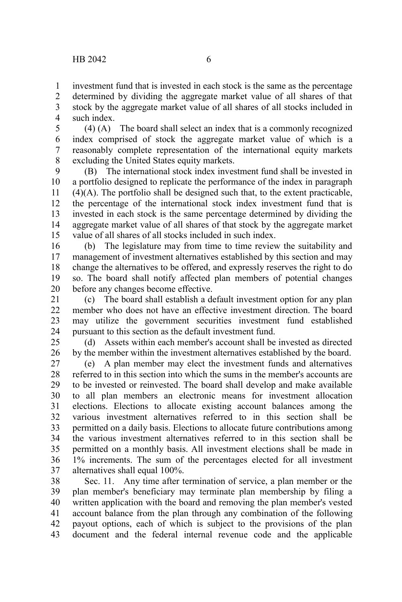investment fund that is invested in each stock is the same as the percentage determined by dividing the aggregate market value of all shares of that stock by the aggregate market value of all shares of all stocks included in such index. 1 2 3 4

(4) (A) The board shall select an index that is a commonly recognized index comprised of stock the aggregate market value of which is a reasonably complete representation of the international equity markets excluding the United States equity markets. 5 6 7 8

(B) The international stock index investment fund shall be invested in a portfolio designed to replicate the performance of the index in paragraph (4)(A). The portfolio shall be designed such that, to the extent practicable, the percentage of the international stock index investment fund that is invested in each stock is the same percentage determined by dividing the aggregate market value of all shares of that stock by the aggregate market value of all shares of all stocks included in such index. 9 10 11 12 13 14 15

(b) The legislature may from time to time review the suitability and management of investment alternatives established by this section and may change the alternatives to be offered, and expressly reserves the right to do so. The board shall notify affected plan members of potential changes before any changes become effective. 16 17 18 19 20

(c) The board shall establish a default investment option for any plan member who does not have an effective investment direction. The board may utilize the government securities investment fund established pursuant to this section as the default investment fund. 21 22 23 24

(d) Assets within each member's account shall be invested as directed by the member within the investment alternatives established by the board. 25 26

(e) A plan member may elect the investment funds and alternatives referred to in this section into which the sums in the member's accounts are to be invested or reinvested. The board shall develop and make available to all plan members an electronic means for investment allocation elections. Elections to allocate existing account balances among the various investment alternatives referred to in this section shall be permitted on a daily basis. Elections to allocate future contributions among the various investment alternatives referred to in this section shall be permitted on a monthly basis. All investment elections shall be made in 1% increments. The sum of the percentages elected for all investment alternatives shall equal 100%. 27 28 29 30 31 32 33 34 35 36 37

Sec. 11. Any time after termination of service, a plan member or the plan member's beneficiary may terminate plan membership by filing a written application with the board and removing the plan member's vested account balance from the plan through any combination of the following payout options, each of which is subject to the provisions of the plan document and the federal internal revenue code and the applicable 38 39 40 41 42 43